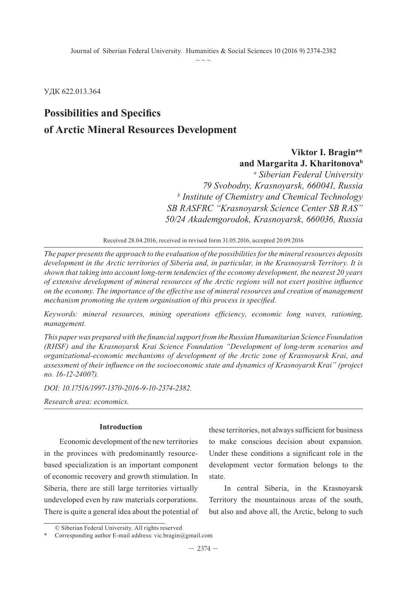УДК 622.013.364

## **Possibilities and Specifics of Arctic Mineral Resources Development**

## **Viktor I. Bragina \* and Margarita J. Kharitonovab**

*a Siberian Federal University 79 Svobodny, Krasnoyarsk, 660041, Russia b Institute of Chemistry and Chemical Technology SB RASFRC "Krasnoyarsk Science Center SB RAS" 50/24 Akademgorodok, Krasnoyarsk, 660036, Russia* 

Received 28.04.2016, received in revised form 31.05.2016, accepted 20.09.2016

*The paper presents the approach to the evaluation of the possibilities for the mineral resources deposits development in the Arctic territories of Siberia and, in particular, in the Krasnoyarsk Territory. It is shown that taking into account long-term tendencies of the economy development, the nearest 20 years of extensive development of mineral resources of the Arctic regions will not exert positive influence on the economy. The importance of the effective use of mineral resources and creation of management mechanism promoting the system organisation of this process is specified.*

*Keywords: mineral resources, mining operations efficiency, economic long waves, rationing, management.*

*This paper was prepared with the financial support from the Russian Humanitarian Science Foundation (RHSF) and the Krasnoyarsk Krai Science Foundation "Development of long-term scenarios and organizational-economic mechanisms of development of the Arctic zone of Krasnoyarsk Krai, and assessment of their influence on the socioeconomic state and dynamics of Krasnoyarsk Krai" (project no. 16-12-24007).*

*DOI: 10.17516/1997-1370-2016-9-10-2374-2382.*

*Research area: economics.*

#### **Introduction**

Economic development of the new territories in the provinces with predominantly resourcebased specialization is an important component of economic recovery and growth stimulation. In Siberia, there are still large territories virtually undeveloped even by raw materials corporations. There is quite a general idea about the potential of these territories, not always sufficient for business to make conscious decision about expansion. Under these conditions a significant role in the development vector formation belongs to the state.

In central Siberia, in the Krasnoyarsk Territory the mountainous areas of the south, but also and above all, the Arctic, belong to such

<sup>©</sup> Siberian Federal University. All rights reserved

Corresponding author E-mail address: vic.bragin@gmail.com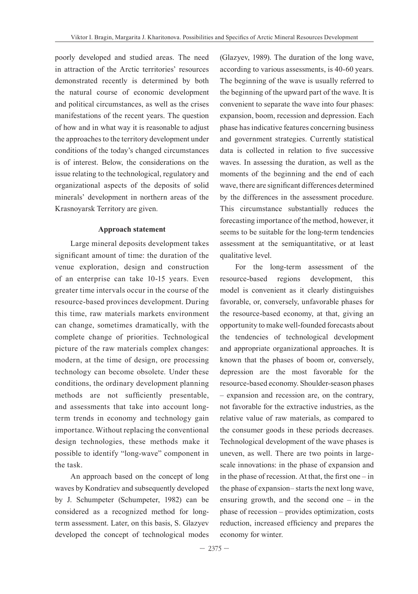poorly developed and studied areas. The need in attraction of the Arctic territories' resources demonstrated recently is determined by both the natural course of economic development and political circumstances, as well as the crises manifestations of the recent years. The question of how and in what way it is reasonable to adjust the approaches to the territory development under conditions of the today's changed circumstances is of interest. Below, the considerations on the issue relating to the technological, regulatory and organizational aspects of the deposits of solid minerals' development in northern areas of the Krasnoyarsk Territory are given.

#### **Approach statement**

Large mineral deposits development takes significant amount of time: the duration of the venue exploration, design and construction of an enterprise can take 10-15 years. Even greater time intervals occur in the course of the resource-based provinces development. During this time, raw materials markets environment can change, sometimes dramatically, with the complete change of priorities. Technological picture of the raw materials complex changes: modern, at the time of design, ore processing technology can become obsolete. Under these conditions, the ordinary development planning methods are not sufficiently presentable, and assessments that take into account longterm trends in economy and technology gain importance. Without replacing the conventional design technologies, these methods make it possible to identify "long-wave" component in the task.

An approach based on the concept of long waves by Kondratiev and subsequently developed by J. Schumpeter (Schumpeter, 1982) can be considered as a recognized method for longterm assessment. Later, on this basis, S. Glazyev developed the concept of technological modes

(Glazyev, 1989). The duration of the long wave, according to various assessments, is 40-60 years. The beginning of the wave is usually referred to the beginning of the upward part of the wave. It is convenient to separate the wave into four phases: expansion, boom, recession and depression. Each phase has indicative features concerning business and government strategies. Currently statistical data is collected in relation to five successive waves. In assessing the duration, as well as the moments of the beginning and the end of each wave, there are significant differences determined by the differences in the assessment procedure. This circumstance substantially reduces the forecasting importance of the method, however, it seems to be suitable for the long-term tendencies assessment at the semiquantitative, or at least qualitative level.

For the long-term assessment of the resource-based regions development, this model is convenient as it clearly distinguishes favorable, or, conversely, unfavorable phases for the resource-based economy, at that, giving an opportunity to make well-founded forecasts about the tendencies of technological development and appropriate organizational approaches. It is known that the phases of boom or, conversely, depression are the most favorable for the resource-based economy. Shoulder-season phases – expansion and recession are, on the contrary, not favorable for the extractive industries, as the relative value of raw materials, as compared to the consumer goods in these periods decreases. Technological development of the wave phases is uneven, as well. There are two points in largescale innovations: in the phase of expansion and in the phase of recession. At that, the first one – in the phase of expansion– starts the next long wave, ensuring growth, and the second one – in the phase of recession – provides optimization, costs reduction, increased efficiency and prepares the economy for winter.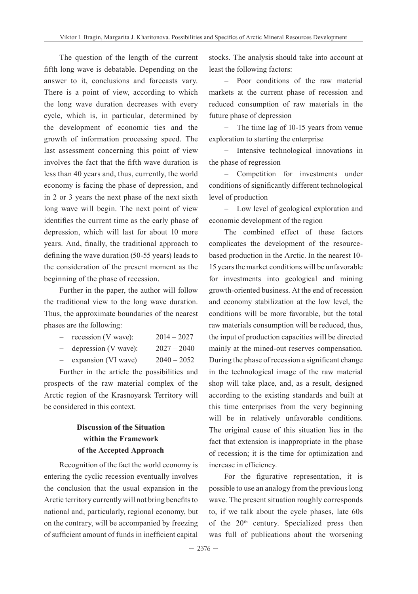The question of the length of the current fifth long wave is debatable. Depending on the answer to it, conclusions and forecasts vary. There is a point of view, according to which the long wave duration decreases with every cycle, which is, in particular, determined by the development of economic ties and the growth of information processing speed. The last assessment concerning this point of view involves the fact that the fifth wave duration is less than 40 years and, thus, currently, the world economy is facing the phase of depression, and in 2 or 3 years the next phase of the next sixth long wave will begin. The next point of view identifies the current time as the early phase of depression, which will last for about 10 more years. And, finally, the traditional approach to defining the wave duration (50-55 years) leads to the consideration of the present moment as the beginning of the phase of recession.

Further in the paper, the author will follow the traditional view to the long wave duration. Thus, the approximate boundaries of the nearest phases are the following:

| $\overline{\phantom{0}}$ | recession (V wave):  | $2014 - 2027$ |
|--------------------------|----------------------|---------------|
|                          | depression (V wave): | $2027 - 2040$ |
| $\overline{\phantom{a}}$ | expansion (VI wave)  | $2040 - 2052$ |

Further in the article the possibilities and prospects of the raw material complex of the Arctic region of the Krasnoyarsk Territory will be considered in this context.

### **Discussion of the Situation within the Framework of the Accepted Approach**

Recognition of the fact the world economy is entering the cyclic recession eventually involves the conclusion that the usual expansion in the Arctic territory currently will not bring benefits to national and, particularly, regional economy, but on the contrary, will be accompanied by freezing of sufficient amount of funds in inefficient capital

stocks. The analysis should take into account at least the following factors:

− Poor conditions of the raw material markets at the current phase of recession and reduced consumption of raw materials in the future phase of depression

− The time lag of 10-15 years from venue exploration to starting the enterprise

− Intensive technological innovations in the phase of regression

− Competition for investments under conditions of significantly different technological level of production

− Low level of geological exploration and economic development of the region

The combined effect of these factors complicates the development of the resourcebased production in the Arctic. In the nearest 10- 15 years the market conditions will be unfavorable for investments into geological and mining growth-oriented business. At the end of recession and economy stabilization at the low level, the conditions will be more favorable, but the total raw materials consumption will be reduced, thus, the input of production capacities will be directed mainly at the mined-out reserves compensation. During the phase of recession a significant change in the technological image of the raw material shop will take place, and, as a result, designed according to the existing standards and built at this time enterprises from the very beginning will be in relatively unfavorable conditions. The original cause of this situation lies in the fact that extension is inappropriate in the phase of recession; it is the time for optimization and increase in efficiency.

For the figurative representation, it is possible to use an analogy from the previous long wave. The present situation roughly corresponds to, if we talk about the cycle phases, late 60s of the 20<sup>th</sup> century. Specialized press then was full of publications about the worsening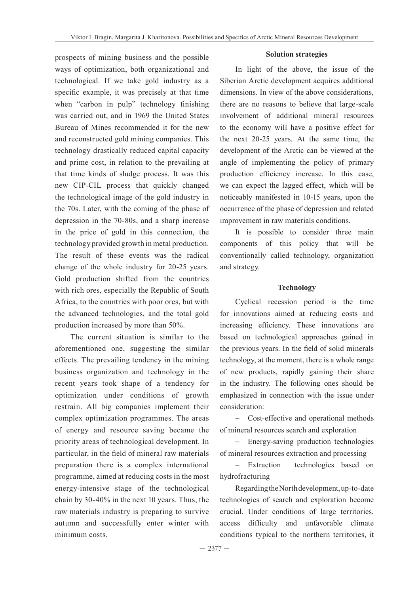prospects of mining business and the possible ways of optimization, both organizational and technological. If we take gold industry as a specific example, it was precisely at that time when "carbon in pulp" technology finishing was carried out, and in 1969 the United States Bureau of Mines recommended it for the new and reconstructed gold mining companies. This technology drastically reduced capital capacity and prime cost, in relation to the prevailing at that time kinds of sludge process. It was this new CIP-CIL process that quickly changed the technological image of the gold industry in the 70s. Later, with the coming of the phase of depression in the 70-80s, and a sharp increase in the price of gold in this connection, the technology provided growth in metal production. The result of these events was the radical change of the whole industry for 20-25 years. Gold production shifted from the countries with rich ores, especially the Republic of South Africa, to the countries with poor ores, but with the advanced technologies, and the total gold production increased by more than 50%.

The current situation is similar to the aforementioned one, suggesting the similar effects. The prevailing tendency in the mining business organization and technology in the recent years took shape of a tendency for optimization under conditions of growth restrain. All big companies implement their complex optimization programmes. The areas of energy and resource saving became the priority areas of technological development. In particular, in the field of mineral raw materials preparation there is a complex international programme, aimed at reducing costs in the most energy-intensive stage of the technological chain by 30-40% in the next 10 years. Thus, the raw materials industry is preparing to survive autumn and successfully enter winter with minimum costs.

#### **Solution strategies**

In light of the above, the issue of the Siberian Arctic development acquires additional dimensions. In view of the above considerations, there are no reasons to believe that large-scale involvement of additional mineral resources to the economy will have a positive effect for the next 20-25 years. At the same time, the development of the Arctic can be viewed at the angle of implementing the policy of primary production efficiency increase. In this case, we can expect the lagged effect, which will be noticeably manifested in 10-15 years, upon the occurrence of the phase of depression and related improvement in raw materials conditions.

It is possible to consider three main components of this policy that will be conventionally called technology, organization and strategy.

#### **Technology**

Cyclical recession period is the time for innovations aimed at reducing costs and increasing efficiency. These innovations are based on technological approaches gained in the previous years. In the field of solid minerals technology, at the moment, there is a whole range of new products, rapidly gaining their share in the industry. The following ones should be emphasized in connection with the issue under consideration:

− Cost-effective and operational methods of mineral resources search and exploration

− Energy-saving production technologies of mineral resources extraction and processing

− Extraction technologies based on hydrofracturing

Regarding the North development, up-to-date technologies of search and exploration become crucial. Under conditions of large territories, access difficulty and unfavorable climate conditions typical to the northern territories, it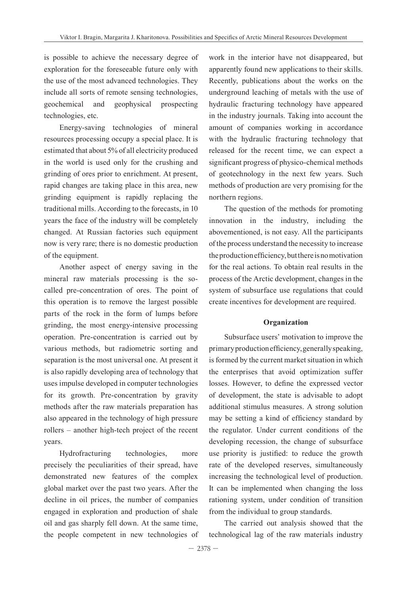is possible to achieve the necessary degree of exploration for the foreseeable future only with the use of the most advanced technologies. They include all sorts of remote sensing technologies, geochemical and geophysical prospecting technologies, etc.

Energy-saving technologies of mineral resources processing occupy a special place. It is estimated that about 5% of all electricity produced in the world is used only for the crushing and grinding of ores prior to enrichment. At present, rapid changes are taking place in this area, new grinding equipment is rapidly replacing the traditional mills. According to the forecasts, in 10 years the face of the industry will be completely changed. At Russian factories such equipment now is very rare; there is no domestic production of the equipment.

Another aspect of energy saving in the mineral raw materials processing is the socalled pre-concentration of ores. The point of this operation is to remove the largest possible parts of the rock in the form of lumps before grinding, the most energy-intensive processing operation. Pre-concentration is carried out by various methods, but radiometric sorting and separation is the most universal one. At present it is also rapidly developing area of technology that uses impulse developed in computer technologies for its growth. Pre-concentration by gravity methods after the raw materials preparation has also appeared in the technology of high pressure rollers – another high-tech project of the recent years.

Hydrofracturing technologies, more precisely the peculiarities of their spread, have demonstrated new features of the complex global market over the past two years. After the decline in oil prices, the number of companies engaged in exploration and production of shale oil and gas sharply fell down. At the same time, the people competent in new technologies of work in the interior have not disappeared, but apparently found new applications to their skills. Recently, publications about the works on the underground leaching of metals with the use of hydraulic fracturing technology have appeared in the industry journals. Taking into account the amount of companies working in accordance with the hydraulic fracturing technology that released for the recent time, we can expect a significant progress of physico-chemical methods of geotechnology in the next few years. Such methods of production are very promising for the northern regions.

The question of the methods for promoting innovation in the industry, including the abovementioned, is not easy. All the participants of the process understand the necessity to increase the production efficiency, but there is no motivation for the real actions. To obtain real results in the process of the Arctic development, changes in the system of subsurface use regulations that could create incentives for development are required.

#### **Organization**

Subsurface users' motivation to improve the primary production efficiency, generally speaking, is formed by the current market situation in which the enterprises that avoid optimization suffer losses. However, to define the expressed vector of development, the state is advisable to adopt additional stimulus measures. A strong solution may be setting a kind of efficiency standard by the regulator. Under current conditions of the developing recession, the change of subsurface use priority is justified: to reduce the growth rate of the developed reserves, simultaneously increasing the technological level of production. It can be implemented when changing the loss rationing system, under condition of transition from the individual to group standards.

The carried out analysis showed that the technological lag of the raw materials industry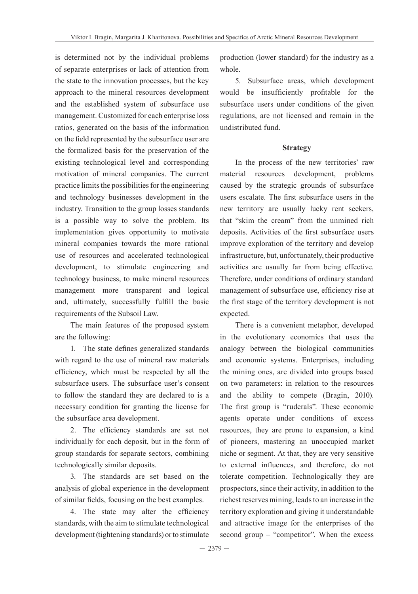is determined not by the individual problems of separate enterprises or lack of attention from the state to the innovation processes, but the key approach to the mineral resources development and the established system of subsurface use management. Customized for each enterprise loss ratios, generated on the basis of the information on the field represented by the subsurface user are the formalized basis for the preservation of the existing technological level and corresponding motivation of mineral companies. The current practice limits the possibilities for the engineering and technology businesses development in the industry. Transition to the group losses standards is a possible way to solve the problem. Its implementation gives opportunity to motivate mineral companies towards the more rational use of resources and accelerated technological development, to stimulate engineering and technology business, to make mineral resources management more transparent and logical and, ultimately, successfully fulfill the basic requirements of the Subsoil Law.

The main features of the proposed system are the following:

1. The state defines generalized standards with regard to the use of mineral raw materials efficiency, which must be respected by all the subsurface users. The subsurface user's consent to follow the standard they are declared to is a necessary condition for granting the license for the subsurface area development.

2. The efficiency standards are set not individually for each deposit, but in the form of group standards for separate sectors, combining technologically similar deposits.

3. The standards are set based on the analysis of global experience in the development of similar fields, focusing on the best examples.

4. The state may alter the efficiency standards, with the aim to stimulate technological development (tightening standards) or to stimulate

production (lower standard) for the industry as a whole.

5. Subsurface areas, which development would be insufficiently profitable for the subsurface users under conditions of the given regulations, are not licensed and remain in the undistributed fund.

#### **Strategy**

In the process of the new territories' raw material resources development, problems caused by the strategic grounds of subsurface users escalate. The first subsurface users in the new territory are usually lucky rent seekers, that "skim the cream" from the unmined rich deposits. Activities of the first subsurface users improve exploration of the territory and develop infrastructure, but, unfortunately, their productive activities are usually far from being effective. Therefore, under conditions of ordinary standard management of subsurface use, efficiency rise at the first stage of the territory development is not expected.

There is a convenient metaphor, developed in the evolutionary economics that uses the analogy between the biological communities and economic systems. Enterprises, including the mining ones, are divided into groups based on two parameters: in relation to the resources and the ability to compete (Bragin, 2010). The first group is "ruderals". These economic agents operate under conditions of excess resources, they are prone to expansion, a kind of pioneers, mastering an unoccupied market niche or segment. At that, they are very sensitive to external influences, and therefore, do not tolerate competition. Technologically they are prospectors, since their activity, in addition to the richest reserves mining, leads to an increase in the territory exploration and giving it understandable and attractive image for the enterprises of the second group – "competitor". When the excess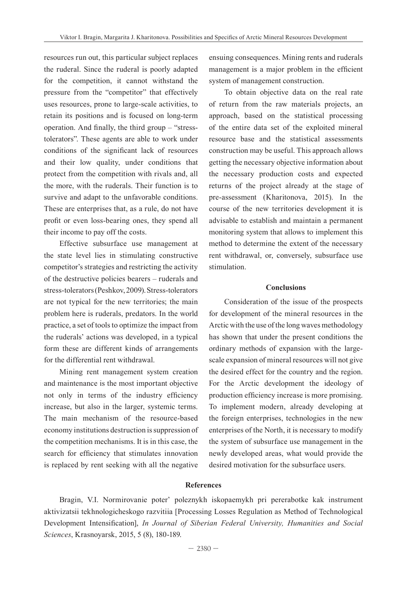resources run out, this particular subject replaces the ruderal. Since the ruderal is poorly adapted for the competition, it cannot withstand the pressure from the "competitor" that effectively uses resources, prone to large-scale activities, to retain its positions and is focused on long-term operation. And finally, the third group – "stresstolerators". These agents are able to work under conditions of the significant lack of resources and their low quality, under conditions that protect from the competition with rivals and, all the more, with the ruderals. Their function is to survive and adapt to the unfavorable conditions. These are enterprises that, as a rule, do not have profit or even loss-bearing ones, they spend all their income to pay off the costs.

Effective subsurface use management at the state level lies in stimulating constructive competitor's strategies and restricting the activity of the destructive policies bearers – ruderals and stress-tolerators (Peshkov, 2009). Stress-tolerators are not typical for the new territories; the main problem here is ruderals, predators. In the world practice, a set of tools to optimize the impact from the ruderals' actions was developed, in a typical form these are different kinds of arrangements for the differential rent withdrawal.

Mining rent management system creation and maintenance is the most important objective not only in terms of the industry efficiency increase, but also in the larger, systemic terms. The main mechanism of the resource-based economy institutions destruction is suppression of the competition mechanisms. It is in this case, the search for efficiency that stimulates innovation is replaced by rent seeking with all the negative

ensuing consequences. Mining rents and ruderals management is a major problem in the efficient system of management construction.

To obtain objective data on the real rate of return from the raw materials projects, an approach, based on the statistical processing of the entire data set of the exploited mineral resource base and the statistical assessments construction may be useful. This approach allows getting the necessary objective information about the necessary production costs and expected returns of the project already at the stage of pre-assessment (Kharitonova, 2015). In the course of the new territories development it is advisable to establish and maintain a permanent monitoring system that allows to implement this method to determine the extent of the necessary rent withdrawal, or, conversely, subsurface use stimulation.

#### **Conclusions**

Consideration of the issue of the prospects for development of the mineral resources in the Arctic with the use of the long waves methodology has shown that under the present conditions the ordinary methods of expansion with the largescale expansion of mineral resources will not give the desired effect for the country and the region. For the Arctic development the ideology of production efficiency increase is more promising. To implement modern, already developing at the foreign enterprises, technologies in the new enterprises of the North, it is necessary to modify the system of subsurface use management in the newly developed areas, what would provide the desired motivation for the subsurface users.

#### **References**

Bragin, V.I. Normirovanie poter' poleznykh iskopaemykh pri pererabotke kak instrument aktivizatsii tekhnologicheskogo razvitiia [Processing Losses Regulation as Method of Technological Development Intensification], *In Journal of Siberian Federal University, Humanities and Social Sciences*, Krasnoyarsk, 2015, 5 (8), 180-189.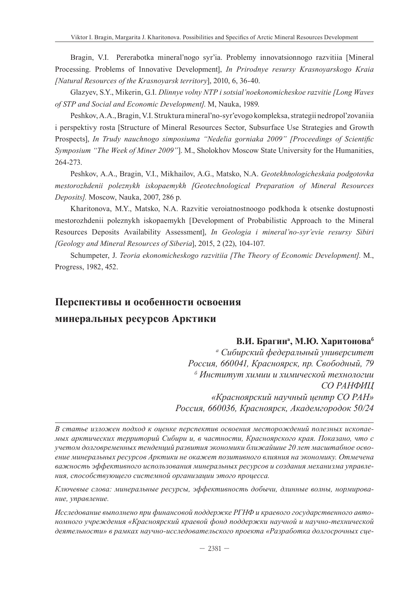Bragin, V.I. Pererabotka mineral'nogo syr'ia. Problemy innovatsionnogo razvitiia [Mineral Processing. Problems of Innovative Development], *In Prirodnye resursy Krasnoyarskogo Kraia [Natural Resources of the Krasnoyarsk territory*], 2010, 6, 36-40.

Glazyev, S.Y., Mikerin, G.I. *Dlinnye volny NTP i sotsial'noekonomicheskoe razvitie [Long Waves of STP and Social and Economic Development]*. М, Nauka, 1989.

Peshkov, A.A., Bragin, V.I. Struktura mineral'no-syr'evogo kompleksa, strategii nedropol'zovaniia i perspektivy rosta [Structure of Mineral Resources Sector, Subsurface Use Strategies and Growth Prospects], *In Trudy nauchnogo simposiuma "Nedelia gorniaka 2009" [Proceedings of Scientific Symposium "The Week of Miner 2009"*]. М., Sholokhov Moscow State University for the Humanities, 264-273.

Peshkov, A.A., Bragin, V.I., Mikhailov, A.G., Matsko, N.A. *Geotekhnologicheskaia podgotovka mestorozhdenii poleznykh iskopaemykh [Geotechnological Preparation of Mineral Resources Deposits].* Moscow, Nauka, 2007, 286 p.

Kharitonova, M.Y., Matsko, N.A. Razvitie veroiatnostnoogo podkhoda k otsenke dostupnosti mestorozhdenii poleznykh iskopaemykh [Development of Probabilistic Approach to the Mineral Resources Deposits Availability Assessment], *In Geologia i mineral'no-syr'evie resursy Sibiri [Geology and Mineral Resources of Siberia*], 2015, 2 (22), 104-107.

Schumpeter, J. *Teoria ekonomicheskogo razvitiia [The Theory of Economic Development]*. М., Progress, 1982, 452.

# **Перспективы и особенности освоения**

## **минеральных ресурсов Арктики**

#### **В.И. Брагина , М.Ю. Харитоноваб**

*а Сибирский федеральный университет Россия, 660041, Красноярск, пр. Свободный, 79 б Институт химии и химической технологии СО РАНФИЦ «Красноярский научный центр СО РАН» Россия, 660036, Красноярск, Академгородок 50/24*

*В статье изложен подход к оценке перспектив освоения месторождений полезных ископаемых арктических территорий Сибири и, в частности, Красноярского края. Показано, что с учетом долговременных тенденций развития экономики ближайшие 20 лет масштабное освоение минеральных ресурсов Арктики не окажет позитивного влияния на экономику. Отмечена важность эффективного использования минеральных ресурсов и создания механизма управления, способствующего системной организации этого процесса.*

*Ключевые слова: минеральные ресурсы, эффективность добычи, длинные волны, нормирование, управление.*

*Исследование выполнено при финансовой поддержке РГНФ и краевого государственного автономного учреждения «Красноярский краевой фонд поддержки научной и научно-технической деятельности» в рамках научно-исследовательского проекта «Разработка долгосрочных сце-*